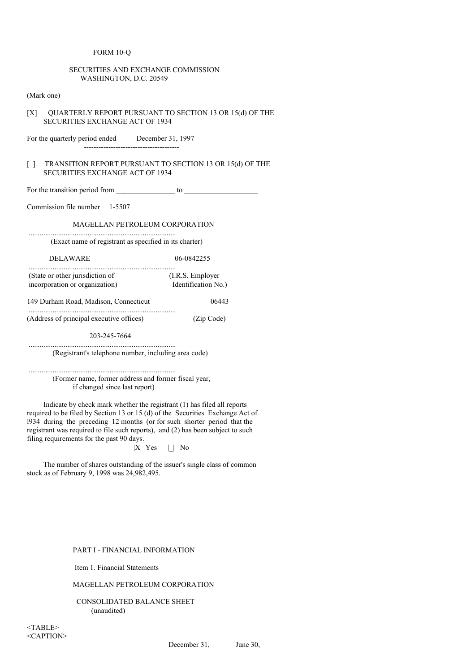#### FORM 10-Q

## SECURITIES AND EXCHANGE COMMISSION WASHINGTON, D.C. 20549

(Mark one)

[X] OUARTERLY REPORT PURSUANT TO SECTION 13 OR 15(d) OF THE SECURITIES EXCHANGE ACT OF 1934

For the quarterly period ended December 31, 1997 ---------------------------------------

................................................................................

# [  $1$  TRANSITION REPORT PURSUANT TO SECTION 13 OR 15(d) OF THE SECURITIES EXCHANGE ACT OF 1934

For the transition period from \_\_\_\_\_\_\_\_\_\_\_\_\_\_\_\_ to \_\_\_\_\_\_\_\_\_\_\_\_\_\_\_\_\_\_\_\_

Commission file number 1-5507

MAGELLAN PETROLEUM CORPORATION

(Exact name of registrant as specified in its charter)

DELAWARE 06-0842255

................................................................................ (State or other jurisdiction of (I.R.S. Employer) incorporation or organization) Identification No.)

149 Durham Road, Madison, Connecticut 06443

(Address of principal executive offices) (Zip Code)

................................................................................

................................................................................

203-245-7664

(Registrant's telephone number, including area code)

................................................................................ (Former name, former address and former fiscal year, if changed since last report)

Indicate by check mark whether the registrant (1) has filed all reports required to be filed by Section 13 or 15 (d) of the Securities Exchange Act of l934 during the preceding 12 months (or for such shorter period that the registrant was required to file such reports), and (2) has been subject to such filing requirements for the past 90 days.

 $|X|$  Yes  $|$  No

The number of shares outstanding of the issuer's single class of common stock as of February 9, 1998 was 24,982,495.

## PART I - FINANCIAL INFORMATION

Item 1. Financial Statements

MAGELLAN PETROLEUM CORPORATION

CONSOLIDATED BALANCE SHEET (unaudited)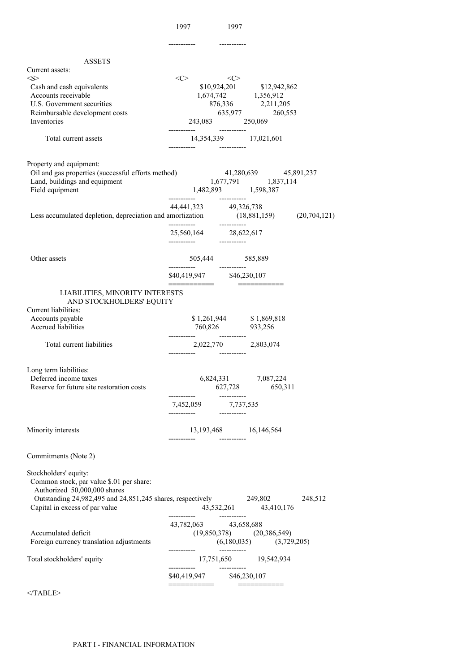| <b>ASSETS</b><br>Current assets:<br>< S >                                                                                     | <<>                       | <<              |                                                                               |  |
|-------------------------------------------------------------------------------------------------------------------------------|---------------------------|-----------------|-------------------------------------------------------------------------------|--|
| Cash and cash equivalents                                                                                                     |                           |                 | \$10,924,201 \$12,942,862                                                     |  |
| Accounts receivable                                                                                                           |                           |                 | 1,674,742 1,356,912                                                           |  |
| U.S. Government securities                                                                                                    |                           |                 | $876,336 \qquad \qquad 2,211,205 \qquad \qquad 635,977 \qquad \qquad 260,553$ |  |
| Reimbursable development costs                                                                                                |                           |                 |                                                                               |  |
| Inventories                                                                                                                   |                           | 243,083 250,069 |                                                                               |  |
| Total current assets                                                                                                          |                           |                 | 14,354,339 17,021,601                                                         |  |
| Property and equipment:                                                                                                       |                           |                 |                                                                               |  |
| Oil and gas properties (successful efforts method) 41,280,639 45,891,237<br>Land, buildings and equipment 1,677,791 1,837,114 |                           |                 |                                                                               |  |
| Field equipment                                                                                                               | 1,482,893 1,598,387       |                 |                                                                               |  |
|                                                                                                                               |                           |                 |                                                                               |  |
|                                                                                                                               | 44,441,323 49,326,738     |                 |                                                                               |  |
| Less accumulated depletion, depreciation and amortization (18,881,159) (20,704,121)                                           | -----------               | -----------     |                                                                               |  |
|                                                                                                                               |                           |                 |                                                                               |  |
| Other assets                                                                                                                  |                           | 505,444 585,889 |                                                                               |  |
|                                                                                                                               |                           |                 |                                                                               |  |
| LIABILITIES, MINORITY INTERESTS<br>AND STOCKHOLDERS' EQUITY                                                                   |                           |                 |                                                                               |  |
| Current liabilities:                                                                                                          |                           |                 |                                                                               |  |
| Accounts payable<br>Accrued liabilities                                                                                       |                           |                 | $$1,261,944$ $$1,869,818$<br>760,826 933,256                                  |  |
| Total current liabilities                                                                                                     | 2,022,770 2,803,074       |                 |                                                                               |  |
| Long term liabilities:<br>Deferred income taxes<br>Reserve for future site restoration costs                                  |                           |                 | 6,824,331 7,087,224<br>627,728 650,311                                        |  |
|                                                                                                                               |                           |                 |                                                                               |  |
|                                                                                                                               | 7,452,059 7,737,535       |                 |                                                                               |  |
| Minority interests                                                                                                            |                           |                 | 13,193,468 16,146,564                                                         |  |
| Commitments (Note 2)                                                                                                          |                           |                 |                                                                               |  |
| Stockholders' equity:<br>Common stock, par value \$.01 per share:<br>Authorized 50,000,000 shares                             |                           |                 |                                                                               |  |
| Outstanding 24,982,495 and 24,851,245 shares, respectively 249,802 248,512<br>Capital in excess of par value                  |                           |                 | 43,532,261 43,410,176                                                         |  |
|                                                                                                                               | 43,782,063 43,658,688     |                 |                                                                               |  |
| Accumulated deficit                                                                                                           |                           |                 | $(19,850,378)$ $(20,386,549)$                                                 |  |
| Foreign currency translation adjustments                                                                                      |                           |                 | $(6,180,035)$ $(3,729,205)$                                                   |  |
| Total stockholders' equity                                                                                                    |                           |                 | 17,751,650 19,542,934                                                         |  |
|                                                                                                                               | \$40,419,947 \$46,230,107 |                 |                                                                               |  |
|                                                                                                                               | =========                 |                 | ____________                                                                  |  |
| $<$ /TABLE>                                                                                                                   |                           |                 |                                                                               |  |

1997 1997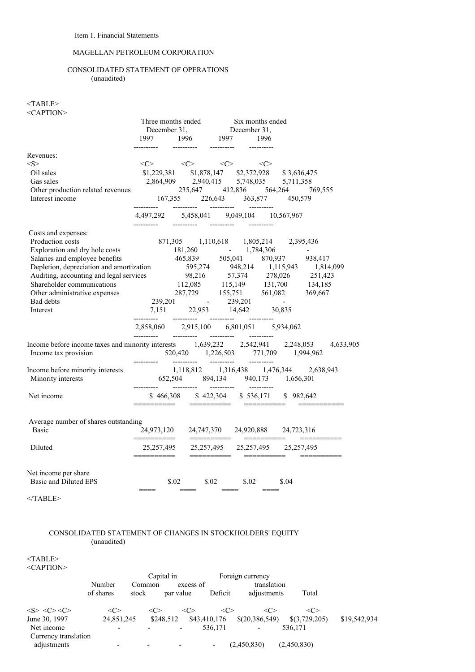# MAGELLAN PETROLEUM CORPORATION

# CONSOLIDATED STATEMENT OF OPERATIONS (unaudited)

# $<$ TABLE> <CAPTION>

|                                                                                                                                                                                                                                              |                                                                                                                                                                                      |                                                                                 | Three months ended Six months ended |  |                        |  |           |
|----------------------------------------------------------------------------------------------------------------------------------------------------------------------------------------------------------------------------------------------|--------------------------------------------------------------------------------------------------------------------------------------------------------------------------------------|---------------------------------------------------------------------------------|-------------------------------------|--|------------------------|--|-----------|
|                                                                                                                                                                                                                                              |                                                                                                                                                                                      | December 31, December 31,<br>1997 1996 1997 1996                                |                                     |  |                        |  |           |
|                                                                                                                                                                                                                                              | -----------                                                                                                                                                                          | ----------                                                                      | -----------                         |  |                        |  |           |
| Revenues:                                                                                                                                                                                                                                    |                                                                                                                                                                                      |                                                                                 |                                     |  |                        |  |           |
| $<\!\!S\!\!>$                                                                                                                                                                                                                                |                                                                                                                                                                                      | $\langle C \rangle$ $\langle C \rangle$ $\langle C \rangle$ $\langle C \rangle$ |                                     |  |                        |  |           |
| Oil sales                                                                                                                                                                                                                                    |                                                                                                                                                                                      | \$1,229,381 \$1,878,147 \$2,372,928 \$3,636,475                                 |                                     |  |                        |  |           |
| Gas sales                                                                                                                                                                                                                                    |                                                                                                                                                                                      | $2,864,909$ $2,940,415$ $5,748,035$ $5,711,358$                                 |                                     |  |                        |  |           |
|                                                                                                                                                                                                                                              |                                                                                                                                                                                      |                                                                                 |                                     |  |                        |  |           |
| Other production related revenues<br>167,355 226,643 412,836 564,264 769,555<br>167,355 226,643 363,877 450,579<br>167,355 226,643 363,877 450,579                                                                                           |                                                                                                                                                                                      |                                                                                 |                                     |  |                        |  |           |
|                                                                                                                                                                                                                                              | 4,497,292 5,458,041 9,049,104 10,567,967                                                                                                                                             |                                                                                 |                                     |  |                        |  |           |
| Costs and expenses:                                                                                                                                                                                                                          |                                                                                                                                                                                      |                                                                                 |                                     |  |                        |  |           |
|                                                                                                                                                                                                                                              |                                                                                                                                                                                      |                                                                                 |                                     |  |                        |  |           |
|                                                                                                                                                                                                                                              |                                                                                                                                                                                      |                                                                                 |                                     |  |                        |  |           |
|                                                                                                                                                                                                                                              |                                                                                                                                                                                      |                                                                                 |                                     |  |                        |  |           |
|                                                                                                                                                                                                                                              |                                                                                                                                                                                      |                                                                                 |                                     |  |                        |  |           |
|                                                                                                                                                                                                                                              |                                                                                                                                                                                      |                                                                                 |                                     |  |                        |  |           |
|                                                                                                                                                                                                                                              |                                                                                                                                                                                      |                                                                                 |                                     |  |                        |  |           |
|                                                                                                                                                                                                                                              |                                                                                                                                                                                      |                                                                                 |                                     |  |                        |  |           |
| Costs and expenses:<br>Production costs<br>Exploration and dry hole costs<br>Salaries and employee benefits<br>465,839 505,041 870,937 938,417<br>Depletion, depreciation and amortization<br>Auditing, accounting and legal services<br>98, |                                                                                                                                                                                      |                                                                                 |                                     |  |                        |  |           |
|                                                                                                                                                                                                                                              |                                                                                                                                                                                      |                                                                                 |                                     |  |                        |  |           |
|                                                                                                                                                                                                                                              |                                                                                                                                                                                      |                                                                                 |                                     |  |                        |  |           |
| Income before income taxes and minority interests 1,639,232 2,542,941 2,248,053<br>Income tax provision                                                                                                                                      | 520,420 1,226,503 771,709 1,994,962                                                                                                                                                  |                                                                                 |                                     |  |                        |  | 4,633,905 |
| Income before minority interests<br>$1,118,812$<br>$4,316,438$<br>$52,504$<br>$894,134$<br>$940,173$<br>$1,656,301$<br>$1,656,301$<br>$1,656,301$                                                                                            |                                                                                                                                                                                      |                                                                                 |                                     |  |                        |  |           |
|                                                                                                                                                                                                                                              |                                                                                                                                                                                      |                                                                                 |                                     |  |                        |  |           |
| Net income                                                                                                                                                                                                                                   | $\frac{$466,308}{$ \text{3000}} \quad \frac{$422,304}{$ \text{3000}} \quad \frac{$536,171}{$ \text{3000}} \quad \frac{$536,171}{$ \text{3000}} \quad \frac{$892,642}{$ \text{3000}}$ |                                                                                 |                                     |  |                        |  |           |
|                                                                                                                                                                                                                                              |                                                                                                                                                                                      |                                                                                 |                                     |  |                        |  |           |
| Average number of shares outstanding<br><b>Basic</b>                                                                                                                                                                                         |                                                                                                                                                                                      |                                                                                 |                                     |  |                        |  |           |
|                                                                                                                                                                                                                                              |                                                                                                                                                                                      |                                                                                 |                                     |  |                        |  |           |
| Diluted                                                                                                                                                                                                                                      | 25, 257, 495 25, 257, 495 25, 257, 495 25, 257, 495                                                                                                                                  |                                                                                 |                                     |  |                        |  |           |
| Net income per share                                                                                                                                                                                                                         |                                                                                                                                                                                      |                                                                                 |                                     |  |                        |  |           |
| <b>Basic and Diluted EPS</b>                                                                                                                                                                                                                 |                                                                                                                                                                                      | \$.02                                                                           | $$.02$ $$.02$ $$.04$                |  | $\qquad \qquad \doteq$ |  |           |
|                                                                                                                                                                                                                                              |                                                                                                                                                                                      |                                                                                 |                                     |  |                        |  |           |

 $<$ /TABLE>

# CONSOLIDATED STATEMENT OF CHANGES IN STOCKHOLDERS' EQUITY (unaudited)

 $<$ TABLE> <CAPTION>

| $\sim$ 11.1011       |                          |        |                          |              |                          |                   |              |
|----------------------|--------------------------|--------|--------------------------|--------------|--------------------------|-------------------|--------------|
|                      |                          |        | Capital in               |              | Foreign currency         |                   |              |
|                      | Number                   | Common |                          | excess of    | translation              |                   |              |
|                      | of shares                | stock  | par value                | Deficit      | adjustments              | Total             |              |
| <s>&lt;&lt;&gt;</s>  | $\langle C \rangle$      |        |                          | <േ           | <<<br><c></c>            | <c></c>           |              |
| June 30, 1997        | 24,851,245               |        | \$248,512                | \$43,410,176 | \$(20,386,549)           | $\{(3,729,205)\}$ | \$19,542,934 |
| Net income           | $\overline{\phantom{a}}$ |        | $\overline{\phantom{0}}$ | 536.171      | $\overline{\phantom{a}}$ | 536.171           |              |
| Currency translation |                          |        |                          |              |                          |                   |              |
| adjustments          | -                        |        |                          |              | (2,450,830)              | (2,450,830)       |              |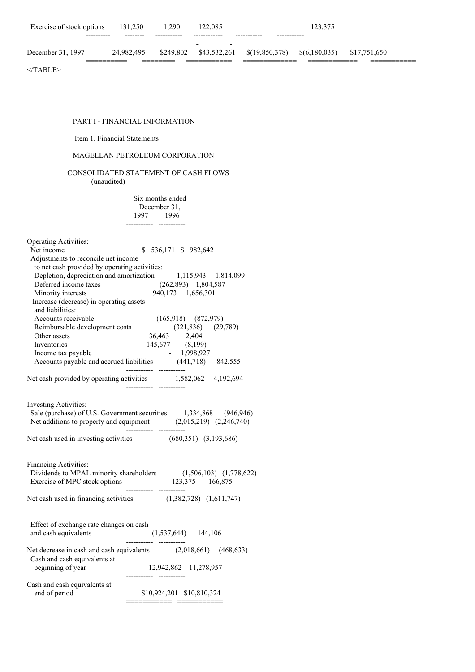| Exercise of stock options | 131.250    | .290      | 122,085                                              |                                        | 123.375 |              |
|---------------------------|------------|-----------|------------------------------------------------------|----------------------------------------|---------|--------------|
| ----------                | --------   |           | $\overline{\phantom{0}}$<br>$\overline{\phantom{0}}$ |                                        |         |              |
| December 31, 1997         | 24.982.495 | \$249.802 | \$43.532.261                                         | $\{(19,850,378) \quad \{(6,180,035)\}$ |         | \$17,751,650 |
|                           |            |           |                                                      |                                        |         |              |

 $<$ /TABLE>

# PART I - FINANCIAL INFORMATION

# Item 1. Financial Statements

# MAGELLAN PETROLEUM CORPORATION

# CONSOLIDATED STATEMENT OF CASH FLOWS (unaudited)

Six months ended December 31, 1997 1996 ----------- -----------

| <b>Operating Activities:</b>                          |                                                                                                                                      |
|-------------------------------------------------------|--------------------------------------------------------------------------------------------------------------------------------------|
| Net income                                            | \$536,171 \$982,642                                                                                                                  |
| Adjustments to reconcile net income                   |                                                                                                                                      |
| to net cash provided by operating activities:         |                                                                                                                                      |
|                                                       | Depletion, depreciation and amortization 1,115,943 1,814,099                                                                         |
| Deferred income taxes                                 | $(262,893)$ 1,804,587                                                                                                                |
| Minority interests                                    | 940,173 1,656,301                                                                                                                    |
| Increase (decrease) in operating assets               |                                                                                                                                      |
| and liabilities:                                      |                                                                                                                                      |
| Accounts receivable<br>Reimbursable development costs | $(165,918)$ $(872,979)$                                                                                                              |
|                                                       | $(321,836)$ $(29,789)$                                                                                                               |
| Other assets                                          |                                                                                                                                      |
| Inventories                                           | 36,463 2,404<br>145,677 (8,199)<br>1,998,927                                                                                         |
| Income tax payable                                    |                                                                                                                                      |
|                                                       | Income tax payable<br>Accounts payable and accrued liabilities (441,718) 842,555                                                     |
|                                                       | ----------- --------<br>Net cash provided by operating activities 1,582,062 4,192,694                                                |
|                                                       |                                                                                                                                      |
| <b>Investing Activities:</b>                          |                                                                                                                                      |
|                                                       |                                                                                                                                      |
|                                                       | Sale (purchase) of U.S. Government securities 1,334,868 (946,946)<br>Net additions to property and equipment (2,015,219) (2,246,740) |
|                                                       | ----------- -------                                                                                                                  |
|                                                       | Net cash used in investing activities (680,351) (3,193,686)                                                                          |
|                                                       |                                                                                                                                      |
| <b>Financing Activities:</b>                          |                                                                                                                                      |
|                                                       |                                                                                                                                      |
|                                                       | Dividends to MPAL minority shareholders (1,506,103) (1,778,622)<br>Exercise of MPC stock options 123,375 166,875                     |
|                                                       | Net cash used in financing activities (1,382,728) (1,611,747)                                                                        |
|                                                       |                                                                                                                                      |
|                                                       |                                                                                                                                      |
| Effect of exchange rate changes on cash               |                                                                                                                                      |
| and cash equivalents                                  | $(1,537,644)$ 144,106<br>-----------                                                                                                 |
|                                                       | Net decrease in cash and cash equivalents (2,018,661) (468,633)                                                                      |
| Cash and cash equivalents at                          |                                                                                                                                      |
| beginning of year                                     | 12,942,862 11,278,957                                                                                                                |
| Cash and cash equivalents at                          |                                                                                                                                      |
| end of period                                         | \$10,924,201 \$10,810,324                                                                                                            |
|                                                       | ________                                                                                                                             |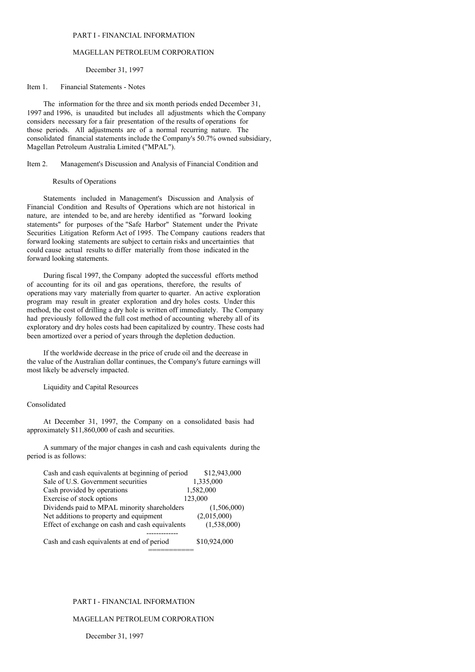#### PART I - FINANCIAL INFORMATION

### MAGELLAN PETROLEUM CORPORATION

#### December 31, 1997

#### Item 1. Financial Statements - Notes

The information for the three and six month periods ended December 31, 1997 and 1996, is unaudited but includes all adjustments which the Company considers necessary for a fair presentation of the results of operations for those periods. All adjustments are of a normal recurring nature. The consolidated financial statements include the Company's 50.7% owned subsidiary, Magellan Petroleum Australia Limited ("MPAL").

Item 2. Management's Discussion and Analysis of Financial Condition and

Results of Operations

Statements included in Management's Discussion and Analysis of Financial Condition and Results of Operations which are not historical in nature, are intended to be, and are hereby identified as "forward looking statements" for purposes of the "Safe Harbor" Statement under the Private Securities Litigation Reform Act of 1995. The Company cautions readers that forward looking statements are subject to certain risks and uncertainties that could cause actual results to differ materially from those indicated in the forward looking statements.

During fiscal 1997, the Company adopted the successful efforts method of accounting for its oil and gas operations, therefore, the results of operations may vary materially from quarter to quarter. An active exploration program may result in greater exploration and dry holes costs. Under this method, the cost of drilling a dry hole is written off immediately. The Company had previously followed the full cost method of accounting whereby all of its exploratory and dry holes costs had been capitalized by country. These costs had been amortized over a period of years through the depletion deduction.

If the worldwide decrease in the price of crude oil and the decrease in the value of the Australian dollar continues, the Company's future earnings will most likely be adversely impacted.

Liquidity and Capital Resources

## Consolidated

At December 31, 1997, the Company on a consolidated basis had approximately \$11,860,000 of cash and securities.

A summary of the major changes in cash and cash equivalents during the period is as follows:

| Cash and cash equivalents at beginning of period | \$12,943,000 |
|--------------------------------------------------|--------------|
| Sale of U.S. Government securities               | 1,335,000    |
| Cash provided by operations                      | 1,582,000    |
| Exercise of stock options                        | 123,000      |
| Dividends paid to MPAL minority shareholders     | (1,506,000)  |
| Net additions to property and equipment          | (2,015,000)  |
| Effect of exchange on cash and cash equivalents  | (1,538,000)  |
|                                                  |              |
| Cash and cash equivalents at end of period       | \$10,924,000 |

===========

## PART I - FINANCIAL INFORMATION

# MAGELLAN PETROLEUM CORPORATION

December 31, 1997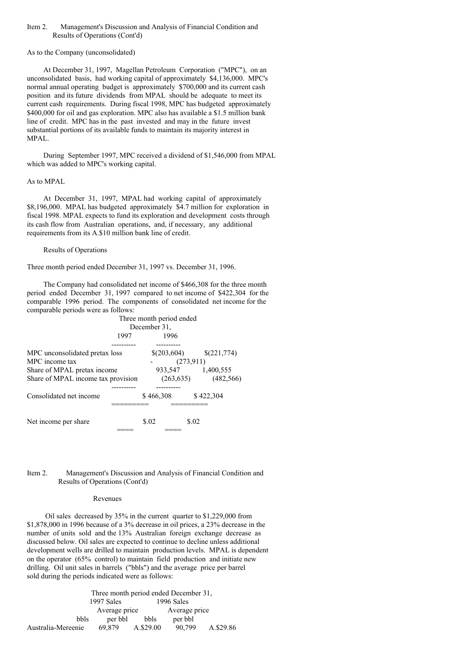### Item 2. Management's Discussion and Analysis of Financial Condition and Results of Operations (Cont'd)

#### As to the Company (unconsolidated)

At December 31, 1997, Magellan Petroleum Corporation ("MPC"), on an unconsolidated basis, had working capital of approximately \$4,136,000. MPC's normal annual operating budget is approximately \$700,000 and its current cash position and its future dividends from MPAL should be adequate to meet its current cash requirements. During fiscal 1998, MPC has budgeted approximately \$400,000 for oil and gas exploration. MPC also has available a \$1.5 million bank line of credit. MPC has in the past invested and may in the future invest substantial portions of its available funds to maintain its majority interest in MPAL.

During September 1997, MPC received a dividend of \$1,546,000 from MPAL which was added to MPC's working capital.

#### As to MPAL

At December 31, 1997, MPAL had working capital of approximately \$8,196,000. MPAL has budgeted approximately \$4.7 million for exploration in fiscal 1998. MPAL expects to fund its exploration and development costs through its cash flow from Australian operations, and, if necessary, any additional requirements from its A.\$10 million bank line of credit.

#### Results of Operations

Three month period ended December 31, 1997 vs. December 31, 1996.

The Company had consolidated net income of \$466,308 for the three month period ended December 31, 1997 compared to net income of \$422,304 for the comparable 1996 period. The components of consolidated net income for the comparable periods were as follows:



#### Item 2. Management's Discussion and Analysis of Financial Condition and Results of Operations (Cont'd)

#### Revenues

Oil sales decreased by 35% in the current quarter to \$1,229,000 from \$1,878,000 in 1996 because of a 3% decrease in oil prices, a 23% decrease in the number of units sold and the 13% Australian foreign exchange decrease as discussed below. Oil sales are expected to continue to decline unless additional development wells are drilled to maintain production levels. MPAL is dependent on the operator (65% control) to maintain field production and initiate new drilling. Oil unit sales in barrels ("bbls") and the average price per barrel sold during the periods indicated were as follows:

Three month period ended December 31, 1997 Sales 1996 Sales Average price Average price bbls per bbl bbls per bbl Australia-Mereenie 69,879 A.\$29.00 90,799 A.\$29.86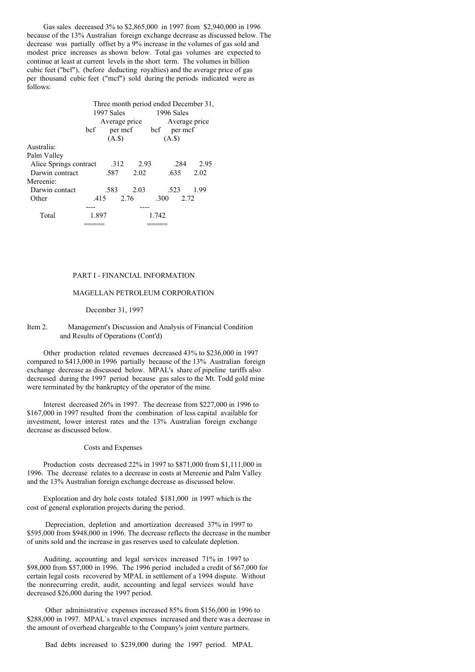Gas sales decreased 3% to \$2,865,000 in 1997 from \$2,940,000 in 1996 because of the 13% Australian foreign exchange decrease as discussed below. The decrease was partially offset by a 9% increase in the volumes of gas sold and modest price increases as shown below. Total gas volumes are expected to continue at least at current levels in the short term. The volumes in billion cubic feet ("bcf"), (before deducting royalties) and the average price of gas per thousand cubic feet ("mcf") sold during the periods indicated were as follows:

|                        | Three month period ended December 31,<br>1997 Sales<br>1996 Sales |               |      |      |               |                     |      |
|------------------------|-------------------------------------------------------------------|---------------|------|------|---------------|---------------------|------|
|                        |                                                                   | Average price |      |      | Average price |                     |      |
|                        | bcf                                                               |               |      |      |               | per mcf bcf per mcf |      |
|                        |                                                                   | $(A.\$)$      |      |      | $(A.$ s       |                     |      |
| Australia:             |                                                                   |               |      |      |               |                     |      |
| Palm Valley            |                                                                   |               |      |      |               |                     |      |
| Alice Springs contract |                                                                   | .312          |      | 2.93 |               | .284                | 2.95 |
| Darwin contract        |                                                                   | .587          |      | 2.02 | .635          |                     | 2.02 |
| Mereenie:              |                                                                   |               |      |      |               |                     |      |
| Darwin contact         |                                                                   | .583          |      | 2.03 | .523          |                     | 1.99 |
| Other                  |                                                                   | .415          | 2.76 |      | .300          | 2.72                |      |
|                        |                                                                   |               |      |      |               |                     |      |
| Total                  | 1.897                                                             |               |      |      | 1.742         |                     |      |
|                        |                                                                   |               |      |      |               |                     |      |

#### PART I - FINANCIAL INFORMATION

### MAGELLAN PETROLEUM CORPORATION

#### December 31, 1997

#### Item 2. Management's Discussion and Analysis of Financial Condition and Results of Operations (Cont'd)

Other production related revenues decreased 43% to \$236,000 in 1997 compared to \$413,000 in 1996 partially because of the 13% Australian foreign exchange decrease as discussed below. MPAL's share of pipeline tariffs also decreased during the 1997 period because gas sales to the Mt. Todd gold mine were terminated by the bankruptcy of the operator of the mine.

Interest decreased 26% in 1997. The decrease from \$227,000 in 1996 to \$167,000 in 1997 resulted from the combination of less capital available for investment, lower interest rates and the 13% Australian foreign exchange decrease as discussed below.

#### Costs and Expenses

Production costs decreased 22% in 1997 to \$871,000 from \$1,111,000 in 1996. The decrease relates to a decrease in costs at Mereenie and Palm Valley and the 13% Australian foreign exchange decrease as discussed below.

Exploration and dry hole costs totaled \$181,000 in 1997 which is the cost of general exploration projects during the period.

Depreciation, depletion and amortization decreased 37% in 1997 to \$595,000 from \$948,000 in 1996. The decrease reflects the decrease in the number of units sold and the increase in gas reserves used to calculate depletion.

Auditing, accounting and legal services increased 71% in 1997 to \$98,000 from \$57,000 in 1996. The 1996 period included a credit of \$67,000 for certain legal costs recovered by MPAL in settlement of a 1994 dispute. Without the nonrecurring credit, audit, accounting and legal services would have decreased \$26,000 during the 1997 period.

Other administrative expenses increased 85% from \$156,000 in 1996 to \$288,000 in 1997. MPAL`s travel expenses increased and there was a decrease in the amount of overhead chargeable to the Company's joint venture partners.

Bad debts increased to \$239,000 during the 1997 period. MPAL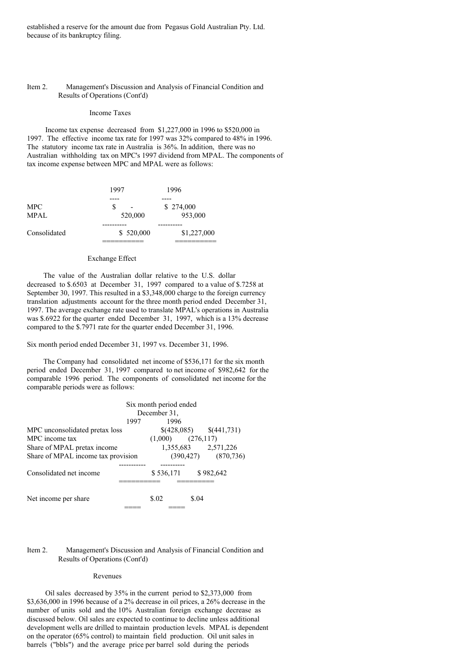established a reserve for the amount due from Pegasus Gold Australian Pty. Ltd. because of its bankruptcy filing.

#### Item 2. Management's Discussion and Analysis of Financial Condition and Results of Operations (Cont'd)

#### Income Taxes

Income tax expense decreased from \$1,227,000 in 1996 to \$520,000 in 1997. The effective income tax rate for 1997 was 32% compared to 48% in 1996. The statutory income tax rate in Australia is 36%. In addition, there was no Australian withholding tax on MPC's 1997 dividend from MPAL. The components of tax income expense between MPC and MPAL were as follows:

|              | 1997      | 1996        |
|--------------|-----------|-------------|
| <b>MPC</b>   | S         | \$274,000   |
| <b>MPAL</b>  | 520,000   | 953,000     |
| Consolidated | \$520,000 | \$1,227,000 |

### Exchange Effect

The value of the Australian dollar relative to the U.S. dollar decreased to \$.6503 at December 31, 1997 compared to a value of \$.7258 at September 30, 1997. This resulted in a \$3,348,000 charge to the foreign currency translation adjustments account for the three month period ended December 31, 1997. The average exchange rate used to translate MPAL's operations in Australia was \$.6922 for the quarter ended December 31, 1997, which is a 13% decrease compared to the \$.7971 rate for the quarter ended December 31, 1996.

Six month period ended December 31, 1997 vs. December 31, 1996.

The Company had consolidated net income of \$536,171 for the six month period ended December 31, 1997 compared to net income of \$982,642 for the comparable 1996 period. The components of consolidated net income for the comparable periods were as follows:

| Six month period ended             |      |                       |       |                                  |
|------------------------------------|------|-----------------------|-------|----------------------------------|
|                                    |      | December 31.          |       |                                  |
|                                    | 1997 | 1996                  |       |                                  |
| MPC unconsolidated pretax loss     |      |                       |       | $\{(428,085) \qquad \{(441,731)$ |
| MPC income tax                     |      | $(1,000)$ $(276,117)$ |       |                                  |
| Share of MPAL pretax income        |      |                       |       | 1,355,683 2,571,226              |
| Share of MPAL income tax provision |      |                       |       | $(390, 427)$ $(870, 736)$        |
|                                    |      |                       |       |                                  |
| Consolidated net income            |      | \$536,171             |       | \$982,642                        |
|                                    |      |                       |       |                                  |
| Net income per share               |      | \$.02                 | \$.04 |                                  |
|                                    |      |                       |       |                                  |

#### Item 2. Management's Discussion and Analysis of Financial Condition and Results of Operations (Cont'd)

#### Revenues

Oil sales decreased by 35% in the current period to \$2,373,000 from \$3,636,000 in 1996 because of a 2% decrease in oil prices, a 26% decrease in the number of units sold and the 10% Australian foreign exchange decrease as discussed below. Oil sales are expected to continue to decline unless additional development wells are drilled to maintain production levels. MPAL is dependent on the operator (65% control) to maintain field production. Oil unit sales in barrels ("bbls") and the average price per barrel sold during the periods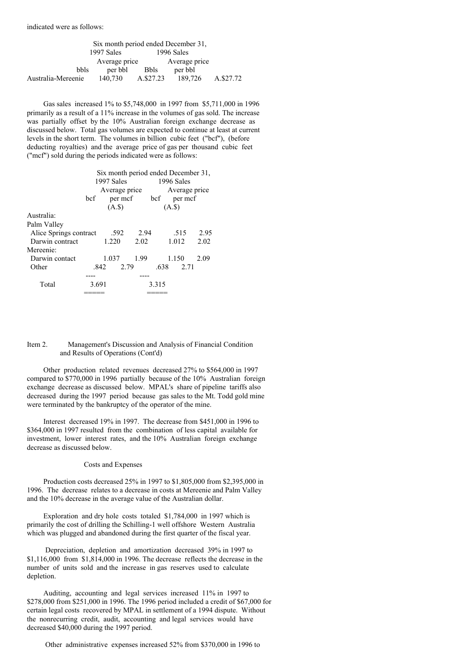indicated were as follows:

| Six month period ended December 31, |               |             |               |           |  |
|-------------------------------------|---------------|-------------|---------------|-----------|--|
|                                     | 1997 Sales    |             | 1996 Sales    |           |  |
|                                     | Average price |             | Average price |           |  |
| <b>bbls</b>                         | per bbl       | <b>Bbls</b> | per bbl       |           |  |
| Australia-Mereenie                  | 140,730       | A.\$27.23   | 189,726       | A.\$27.72 |  |

Gas sales increased 1% to \$5,748,000 in 1997 from \$5,711,000 in 1996 primarily as a result of a 11% increase in the volumes of gas sold. The increase was partially offset by the 10% Australian foreign exchange decrease as discussed below. Total gas volumes are expected to continue at least at current levels in the short term. The volumes in billion cubic feet ("bcf"), (before deducting royalties) and the average price of gas per thousand cubic feet ("mcf") sold during the periods indicated were as follows:

|                        | Six month period ended December 31, |            |               |            |               |      |  |
|------------------------|-------------------------------------|------------|---------------|------------|---------------|------|--|
|                        |                                     | 1997 Sales |               | 1996 Sales |               |      |  |
|                        |                                     |            | Average price |            | Average price |      |  |
|                        | bcf                                 |            | per mcf       | bcf        | per mcf       |      |  |
|                        |                                     | $(A.\$)$   |               | $(A.\$)$   |               |      |  |
| Australia:             |                                     |            |               |            |               |      |  |
| Palm Valley            |                                     |            |               |            |               |      |  |
| Alice Springs contract |                                     | .592       | 2.94          |            | .515          | 2.95 |  |
| Darwin contract        |                                     | 1.220      | 2.02          |            | 1.012         | 2.02 |  |
| Mereenie:              |                                     |            |               |            |               |      |  |
| Darwin contact         |                                     | 1.037      | 1.99          |            | 1.150         | 2.09 |  |
| Other                  |                                     | .842       | 2.79          | .638       | 2.71          |      |  |
|                        |                                     |            |               |            |               |      |  |
| Total                  | 3.691                               |            |               | 3.315      |               |      |  |
|                        |                                     |            |               |            |               |      |  |

#### Item 2. Management's Discussion and Analysis of Financial Condition and Results of Operations (Cont'd)

Other production related revenues decreased 27% to \$564,000 in 1997 compared to \$770,000 in 1996 partially because of the 10% Australian foreign exchange decrease as discussed below. MPAL's share of pipeline tariffs also decreased during the 1997 period because gas sales to the Mt. Todd gold mine were terminated by the bankruptcy of the operator of the mine.

Interest decreased 19% in 1997. The decrease from \$451,000 in 1996 to \$364,000 in 1997 resulted from the combination of less capital available for investment, lower interest rates, and the 10% Australian foreign exchange decrease as discussed below.

### Costs and Expenses

Production costs decreased 25% in 1997 to \$1,805,000 from \$2,395,000 in 1996. The decrease relates to a decrease in costs at Mereenie and Palm Valley and the 10% decrease in the average value of the Australian dollar.

Exploration and dry hole costs totaled \$1,784,000 in 1997 which is primarily the cost of drilling the Schilling-1 well offshore Western Australia which was plugged and abandoned during the first quarter of the fiscal year.

Depreciation, depletion and amortization decreased 39% in 1997 to  $$1,116,000$  from  $$1,814,000$  in 1996. The decrease reflects the decrease in the number of units sold and the increase in gas reserves used to calculate depletion.

Auditing, accounting and legal services increased 11% in 1997 to \$278,000 from \$251,000 in 1996. The 1996 period included a credit of \$67,000 for certain legal costs recovered by MPAL in settlement of a 1994 dispute. Without the nonrecurring credit, audit, accounting and legal services would have decreased \$40,000 during the 1997 period.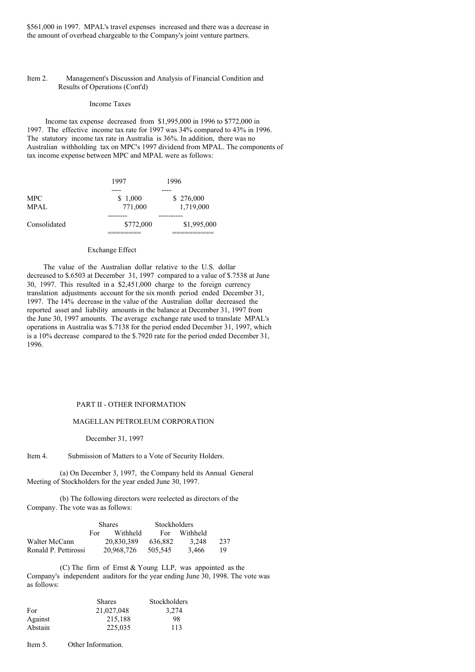\$561,000 in 1997. MPAL's travel expenses increased and there was a decrease in the amount of overhead chargeable to the Company's joint venture partners.

### Item 2. Management's Discussion and Analysis of Financial Condition and Results of Operations (Cont'd)

### Income Taxes

Income tax expense decreased from \$1,995,000 in 1996 to \$772,000 in 1997. The effective income tax rate for 1997 was 34% compared to 43% in 1996. The statutory income tax rate in Australia is 36%. In addition, there was no Australian withholding tax on MPC's 1997 dividend from MPAL. The components of tax income expense between MPC and MPAL were as follows:

|              | 1997      | 1996        |
|--------------|-----------|-------------|
|              |           |             |
| <b>MPC</b>   | \$1,000   | \$276,000   |
| <b>MPAL</b>  | 771,000   | 1,719,000   |
|              |           |             |
| Consolidated | \$772,000 | \$1,995,000 |
|              |           |             |

### Exchange Effect

The value of the Australian dollar relative to the U.S. dollar decreased to \$.6503 at December 31, 1997 compared to a value of \$.7538 at June 30, 1997. This resulted in a \$2,451,000 charge to the foreign currency translation adjustments account for the six month period ended December 31, 1997. The 14% decrease in the value of the Australian dollar decreased the reported asset and liability amounts in the balance at December 31, 1997 from the June 30, 1997 amounts. The average exchange rate used to translate MPAL's operations in Australia was \$.7138 for the period ended December 31, 1997, which is a 10% decrease compared to the \$.7920 rate for the period ended December 31, 1996.

#### PART II - OTHER INFORMATION

### MAGELLAN PETROLEUM CORPORATION

December 31, 1997

Item 4. Submission of Matters to a Vote of Security Holders.

(a) On December 3, 1997, the Company held its Annual General Meeting of Stockholders for the year ended June 30, 1997.

(b) The following directors were reelected as directors of the Company. The vote was as follows:

|                      | <b>Shares</b> |            | <b>Stockholders</b> |          |     |
|----------------------|---------------|------------|---------------------|----------|-----|
|                      | For -         | Withheld   | For                 | Withheld |     |
| Walter McCann        |               | 20.830.389 | 636.882             | 3.248    | 237 |
| Ronald P. Pettirossi |               | 20.968.726 | 505.545             | 3.466    | 19  |

(C) The firm of Ernst & Young LLP, was appointed as the Company's independent auditors for the year ending June 30, 1998. The vote was as follows:

|         | <b>Shares</b> | Stockholders |
|---------|---------------|--------------|
| For     | 21,027,048    | 3,274        |
| Against | 215.188       | 98           |
| Abstain | 225,035       | 113          |

Item 5. Other Information.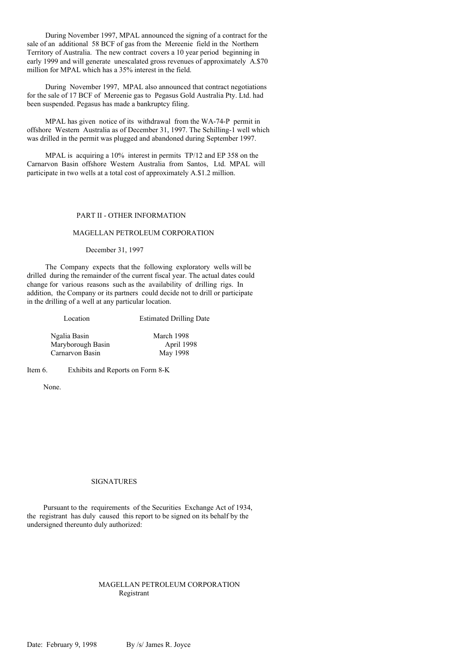During November 1997, MPAL announced the signing of a contract for the sale of an additional 58 BCF of gas from the Mereenie field in the Northern Territory of Australia. The new contract covers a 10 year period beginning in early 1999 and will generate unescalated gross revenues of approximately A.\$70 million for MPAL which has a 35% interest in the field.

During November 1997, MPAL also announced that contract negotiations for the sale of 17 BCF of Mereenie gas to Pegasus Gold Australia Pty. Ltd. had been suspended. Pegasus has made a bankruptcy filing.

MPAL has given notice of its withdrawal from the WA-74-P permit in offshore Western Australia as of December 31, 1997. The Schilling-1 well which was drilled in the permit was plugged and abandoned during September 1997.

MPAL is acquiring a 10% interest in permits TP/12 and EP 358 on the Carnarvon Basin offshore Western Australia from Santos, Ltd. MPAL will participate in two wells at a total cost of approximately A.\$1.2 million.

# PART II - OTHER INFORMATION

#### MAGELLAN PETROLEUM CORPORATION

#### December 31, 1997

The Company expects that the following exploratory wells will be drilled during the remainder of the current fiscal year. The actual dates could change for various reasons such as the availability of drilling rigs. In addition, the Company or its partners could decide not to drill or participate in the drilling of a well at any particular location.

| Location          | <b>Estimated Drilling Date</b> |
|-------------------|--------------------------------|
| Ngalia Basin      | March 1998                     |
| Maryborough Basin | April 1998                     |
| Carnarvon Basin   | May 1998                       |

Item 6. Exhibits and Reports on Form 8-K

None.

#### SIGNATURES

Pursuant to the requirements of the Securities Exchange Act of 1934, the registrant has duly caused this report to be signed on its behalf by the undersigned thereunto duly authorized:

## MAGELLAN PETROLEUM CORPORATION Registrant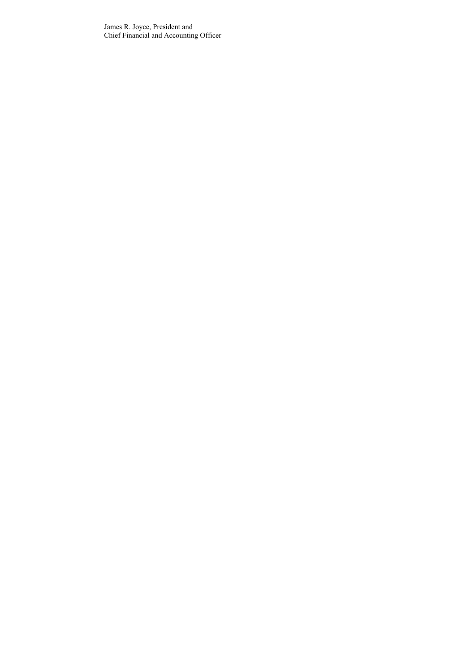James R. Joyce, President and Chief Financial and Accounting Officer